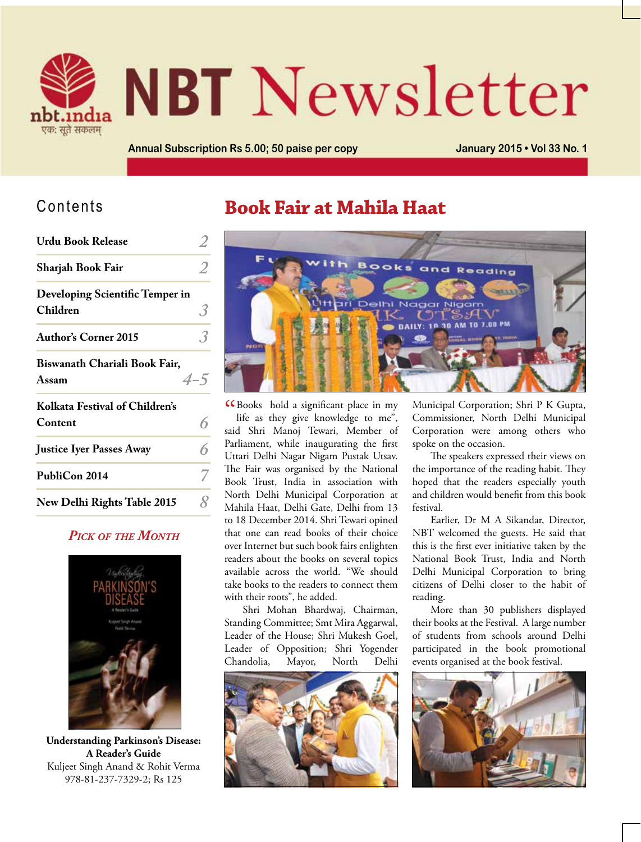

# **NBT** Newsletter

**Annual Subscription Rs 5.00; 50 paise per copy January 2015 • Vol 33 No. 1**

#### Contents

| <b>Urdu Book Release</b>                    |         |
|---------------------------------------------|---------|
| Sharjah Book Fair                           |         |
| Developing Scientific Temper in<br>Children |         |
| <b>Author's Corner 2015</b>                 |         |
| Biswanath Chariali Book Fair,<br>Assam      | $4 - 5$ |
| Kolkata Festival of Children's<br>Content   | 6       |
| <b>Justice Iyer Passes Away</b>             |         |
| PubliCon 2014                               |         |
| <b>New Delhi Rights Table 2015</b>          |         |

#### *Pick of the Month*



**Understanding Parkinson's Disease: A Reader's Guide** Kuljeet Singh Anand & Rohit Verma 978-81-237-7329-2; Rs 125

#### **Book Fair at Mahila Haat**



**CBooks** hold a significant place in my<br>life as they give knowledge to me", life as they give knowledge to me", said Shri Manoj Tewari, Member of Parliament, while inaugurating the first Uttari Delhi Nagar Nigam Pustak Utsav. The Fair was organised by the National Book Trust, India in association with North Delhi Municipal Corporation at Mahila Haat, Delhi Gate, Delhi from 13 to 18 December 2014. Shri Tewari opined that one can read books of their choice over Internet but such book fairs enlighten readers about the books on several topics available across the world. "We should take books to the readers to connect them with their roots", he added.

Shri Mohan Bhardwaj, Chairman, Standing Committee; Smt Mira Aggarwal, Leader of the House; Shri Mukesh Goel, Leader of Opposition; Shri Yogender Chandolia, Mayor, North Delhi



Municipal Corporation; Shri P K Gupta, Commissioner, North Delhi Municipal Corporation were among others who spoke on the occasion.

The speakers expressed their views on the importance of the reading habit. They hoped that the readers especially youth and children would benefit from this book festival.

Earlier, Dr M A Sikandar, Director, NBT welcomed the guests. He said that this is the first ever initiative taken by the National Book Trust, India and North Delhi Municipal Corporation to bring citizens of Delhi closer to the habit of reading.

More than 30 publishers displayed their books at the Festival. A large number of students from schools around Delhi participated in the book promotional events organised at the book festival.

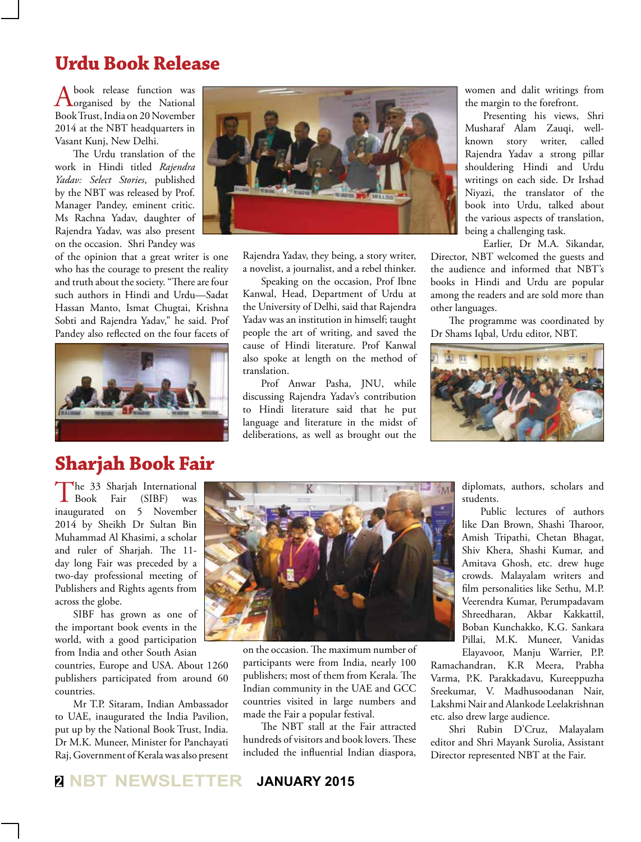#### **Urdu Book Release**

A book release function was<br>
organised by the National<br>
Phil Times Lines 200 March 1 Book Trust, India on 20 November 2014 at the NBT headquarters in Vasant Kunj, New Delhi.

The Urdu translation of the work in Hindi titled *Rajendra Yadav: Select Stories*, published by the NBT was released by Prof. Manager Pandey, eminent critic. Ms Rachna Yadav, daughter of Rajendra Yadav, was also present on the occasion. Shri Pandey was

of the opinion that a great writer is one who has the courage to present the reality and truth about the society. "There are four such authors in Hindi and Urdu—Sadat Hassan Manto, Ismat Chugtai, Krishna Sobti and Rajendra Yadav," he said. Prof Pandey also reflected on the four facets of



### **Sharjah Book Fair**

The 33 Sharjah International<br>Book Fair (SIBF) was  $(SIBF)$ inaugurated on 5 November 2014 by Sheikh Dr Sultan Bin Muhammad Al Khasimi, a scholar and ruler of Sharjah. The 11 day long Fair was preceded by a two-day professional meeting of Publishers and Rights agents from across the globe.

SIBF has grown as one of the important book events in the world, with a good participation from India and other South Asian

countries, Europe and USA. About 1260 publishers participated from around 60 countries.

Mr T.P. Sitaram, Indian Ambassador to UAE, inaugurated the India Pavilion, put up by the National Book Trust, India. Dr M.K. Muneer, Minister for Panchayati Raj, Government of Kerala was also present



Rajendra Yadav, they being, a story writer, a novelist, a journalist, and a rebel thinker.

Speaking on the occasion, Prof Ibne Kanwal, Head, Department of Urdu at the University of Delhi, said that Rajendra Yadav was an institution in himself; taught people the art of writing, and saved the cause of Hindi literature. Prof Kanwal also spoke at length on the method of translation.

Prof Anwar Pasha, JNU, while discussing Rajendra Yadav's contribution to Hindi literature said that he put language and literature in the midst of deliberations, as well as brought out the

women and dalit writings from the margin to the forefront.

Presenting his views, Shri Musharaf Alam Zauqi, wellknown story writer, called Rajendra Yadav a strong pillar shouldering Hindi and Urdu writings on each side. Dr Irshad Niyazi, the translator of the book into Urdu, talked about the various aspects of translation, being a challenging task.

Earlier, Dr M.A. Sikandar,

Director, NBT welcomed the guests and the audience and informed that NBT's books in Hindi and Urdu are popular among the readers and are sold more than other languages.

The programme was coordinated by Dr Shams Iqbal, Urdu editor, NBT.



diplomats, authors, scholars and students.

Public lectures of authors like Dan Brown, Shashi Tharoor, Amish Tripathi, Chetan Bhagat, Shiv Khera, Shashi Kumar, and Amitava Ghosh, etc. drew huge crowds. Malayalam writers and film personalities like Sethu, M.P. Veerendra Kumar, Perumpadavam Shreedharan, Akbar Kakkattil, Boban Kunchakko, K.G. Sankara Pillai, M.K. Muneer, Vanidas Elayavoor, Manju Warrier, P.P.

Ramachandran, K.R Meera, Prabha Varma, P.K. Parakkadavu, Kureeppuzha Sreekumar, V. Madhusoodanan Nair, Lakshmi Nair and Alankode Leelakrishnan etc. also drew large audience.

Shri Rubin D'Cruz, Malayalam editor and Shri Mayank Surolia, Assistant Director represented NBT at the Fair.

on the occasion. The maximum number of participants were from India, nearly 100 publishers; most of them from Kerala. The Indian community in the UAE and GCC countries visited in large numbers and made the Fair a popular festival.

The NBT stall at the Fair attracted hundreds of visitors and book lovers. These included the influential Indian diaspora,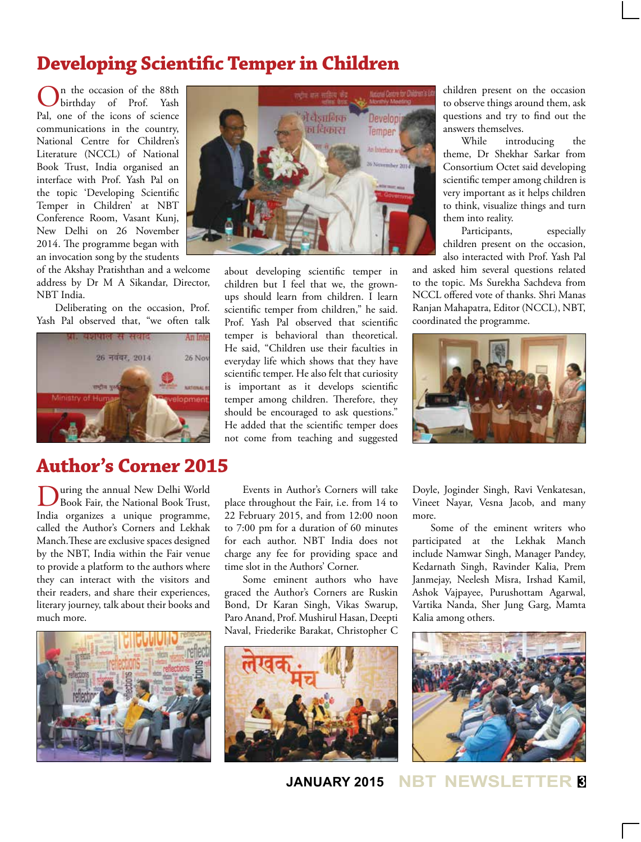### **Developing Scientific Temper in Children**

n the occasion of the 88th<br>birthday of Prof. Yash birthday of Prof. Pal, one of the icons of science communications in the country, National Centre for Children's Literature (NCCL) of National Book Trust, India organised an interface with Prof. Yash Pal on the topic 'Developing Scientific Temper in Children' at NBT Conference Room, Vasant Kunj, New Delhi on 26 November 2014. The programme began with an invocation song by the students

of the Akshay Pratishthan and a welcome address by Dr M A Sikandar, Director, NBT India.

Deliberating on the occasion, Prof. Yash Pal observed that, "we often talk



## **Author's Corner 2015**

**D**uring the annual New Delhi World<br>Book Fair, the National Book Trust, India organizes a unique programme, called the Author's Corners and Lekhak Manch.These are exclusive spaces designed by the NBT, India within the Fair venue to provide a platform to the authors where they can interact with the visitors and their readers, and share their experiences, literary journey, talk about their books and much more.





about developing scientific temper in children but I feel that we, the grownups should learn from children. I learn scientific temper from children," he said. Prof. Yash Pal observed that scientific temper is behavioral than theoretical. He said, "Children use their faculties in everyday life which shows that they have scientific temper. He also felt that curiosity is important as it develops scientific temper among children. Therefore, they should be encouraged to ask questions." He added that the scientific temper does not come from teaching and suggested

Events in Author's Corners will take place throughout the Fair, i.e. from 14 to 22 February 2015, and from 12:00 noon to 7:00 pm for a duration of 60 minutes for each author. NBT India does not charge any fee for providing space and time slot in the Authors' Corner.

Some eminent authors who have graced the Author's Corners are Ruskin Bond, Dr Karan Singh, Vikas Swarup, Paro Anand, Prof. Mushirul Hasan, Deepti Naval, Friederike Barakat, Christopher C



children present on the occasion to observe things around them, ask questions and try to find out the answers themselves.

While introducing the theme, Dr Shekhar Sarkar from Consortium Octet said developing scientific temper among children is very important as it helps children to think, visualize things and turn them into reality.

Participants, especially children present on the occasion, also interacted with Prof. Yash Pal

and asked him several questions related to the topic. Ms Surekha Sachdeva from NCCL offered vote of thanks. Shri Manas Ranjan Mahapatra, Editor (NCCL), NBT, coordinated the programme.



Doyle, Joginder Singh, Ravi Venkatesan, Vineet Nayar, Vesna Jacob, and many more.

Some of the eminent writers who participated at the Lekhak Manch include Namwar Singh, Manager Pandey, Kedarnath Singh, Ravinder Kalia, Prem Janmejay, Neelesh Misra, Irshad Kamil, Ashok Vajpayee, Purushottam Agarwal, Vartika Nanda, Sher Jung Garg, Mamta Kalia among others.



**JANUARY 2015 NBT NEWSLETTER <sup>3</sup>**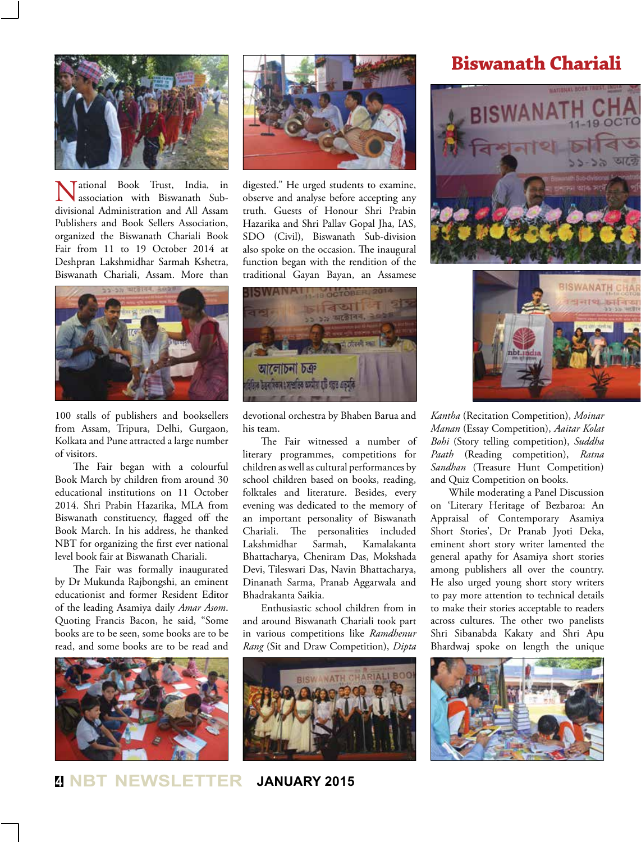

Tational Book Trust, India, in association with Biswanath Subdivisional Administration and All Assam Publishers and Book Sellers Association, organized the Biswanath Chariali Book Fair from 11 to 19 October 2014 at Deshpran Lakshmidhar Sarmah Kshetra, Biswanath Chariali, Assam. More than



100 stalls of publishers and booksellers from Assam, Tripura, Delhi, Gurgaon, Kolkata and Pune attracted a large number of visitors.

The Fair began with a colourful Book March by children from around 30 educational institutions on 11 October 2014. Shri Prabin Hazarika, MLA from Biswanath constituency, flagged off the Book March. In his address, he thanked NBT for organizing the first ever national level book fair at Biswanath Chariali.

The Fair was formally inaugurated by Dr Mukunda Rajbongshi, an eminent educationist and former Resident Editor of the leading Asamiya daily *Amar Asom*. Quoting Francis Bacon, he said, "Some books are to be seen, some books are to be read, and some books are to be read and





digested." He urged students to examine, observe and analyse before accepting any truth. Guests of Honour Shri Prabin Hazarika and Shri Pallav Gopal Jha, IAS, SDO (Civil), Biswanath Sub-division also spoke on the occasion. The inaugural function began with the rendition of the traditional Gayan Bayan, an Assamese



devotional orchestra by Bhaben Barua and his team.

The Fair witnessed a number of literary programmes, competitions for children as well as cultural performances by school children based on books, reading, folktales and literature. Besides, every evening was dedicated to the memory of an important personality of Biswanath Chariali. The personalities included Lakshmidhar Sarmah, Kamalakanta Bhattacharya, Cheniram Das, Mokshada Devi, Tileswari Das, Navin Bhattacharya, Dinanath Sarma, Pranab Aggarwala and Bhadrakanta Saikia.

Enthusiastic school children from in and around Biswanath Chariali took part in various competitions like *Ramdhenur Rang* (Sit and Draw Competition), *Dipta* 



#### **Biswanath Chariali**





*Kantha* (Recitation Competition), *Moinar Manan* (Essay Competition), *Aaitar Kolat Bohi* (Story telling competition), *Suddha Paath* (Reading competition), *Ratna Sandhan* (Treasure Hunt Competition) and Quiz Competition on books.

While moderating a Panel Discussion on 'Literary Heritage of Bezbaroa: An Appraisal of Contemporary Asamiya Short Stories', Dr Pranab Jyoti Deka, eminent short story writer lamented the general apathy for Asamiya short stories among publishers all over the country. He also urged young short story writers to pay more attention to technical details to make their stories acceptable to readers across cultures. The other two panelists Shri Sibanabda Kakaty and Shri Apu Bhardwaj spoke on length the unique



**<sup>4</sup> NBT NEWSLETTER JANUARY 2015**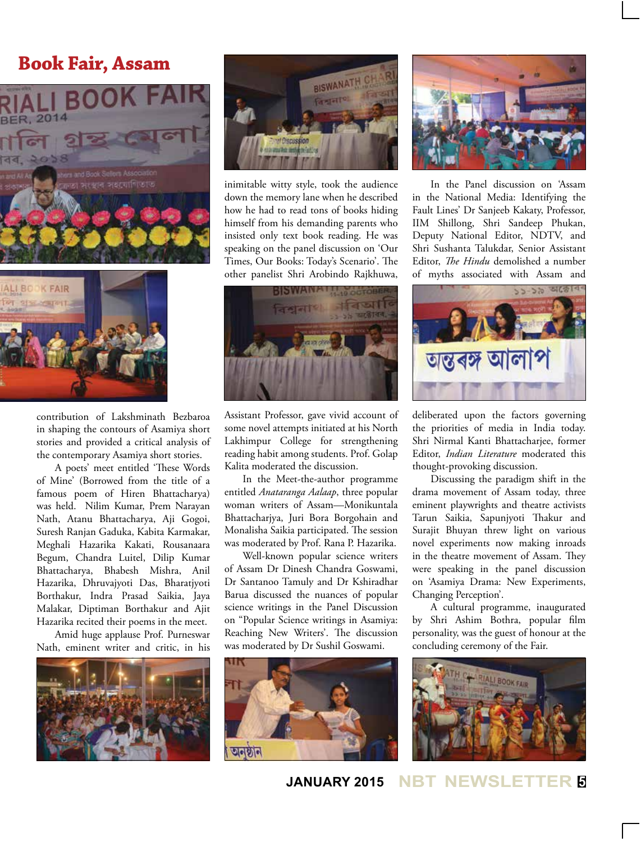#### **Book Fair, Assam**





contribution of Lakshminath Bezbaroa in shaping the contours of Asamiya short stories and provided a critical analysis of the contemporary Asamiya short stories.

A poets' meet entitled 'These Words of Mine' (Borrowed from the title of a famous poem of Hiren Bhattacharya) was held. Nilim Kumar, Prem Narayan Nath, Atanu Bhattacharya, Aji Gogoi, Suresh Ranjan Gaduka, Kabita Karmakar, Meghali Hazarika Kakati, Rousanaara Begum, Chandra Luitel, Dilip Kumar Bhattacharya, Bhabesh Mishra, Anil Hazarika, Dhruvajyoti Das, Bharatjyoti Borthakur, Indra Prasad Saikia, Jaya Malakar, Diptiman Borthakur and Ajit Hazarika recited their poems in the meet.

Amid huge applause Prof. Purneswar Nath, eminent writer and critic, in his





inimitable witty style, took the audience down the memory lane when he described how he had to read tons of books hiding himself from his demanding parents who insisted only text book reading. He was speaking on the panel discussion on 'Our Times, Our Books: Today's Scenario'. The other panelist Shri Arobindo Rajkhuwa,



Assistant Professor, gave vivid account of some novel attempts initiated at his North Lakhimpur College for strengthening reading habit among students. Prof. Golap Kalita moderated the discussion.

In the Meet-the-author programme entitled *Anataranga Aalaap*, three popular woman writers of Assam—Monikuntala Bhattacharjya, Juri Bora Borgohain and Monalisha Saikia participated. The session was moderated by Prof. Rana P. Hazarika.

Well-known popular science writers of Assam Dr Dinesh Chandra Goswami, Dr Santanoo Tamuly and Dr Kshiradhar Barua discussed the nuances of popular science writings in the Panel Discussion on "Popular Science writings in Asamiya: Reaching New Writers'. The discussion was moderated by Dr Sushil Goswami.





In the Panel discussion on 'Assam in the National Media: Identifying the Fault Lines' Dr Sanjeeb Kakaty, Professor, IIM Shillong, Shri Sandeep Phukan, Deputy National Editor, NDTV, and Shri Sushanta Talukdar, Senior Assistant Editor, *The Hindu* demolished a number of myths associated with Assam and



deliberated upon the factors governing the priorities of media in India today. Shri Nirmal Kanti Bhattacharjee, former Editor, *Indian Literature* moderated this thought-provoking discussion.

Discussing the paradigm shift in the drama movement of Assam today, three eminent playwrights and theatre activists Tarun Saikia, Sapunjyoti Thakur and Surajit Bhuyan threw light on various novel experiments now making inroads in the theatre movement of Assam. They were speaking in the panel discussion on 'Asamiya Drama: New Experiments, Changing Perception'.

A cultural programme, inaugurated by Shri Ashim Bothra, popular film personality, was the guest of honour at the concluding ceremony of the Fair.



**JANUARY 2015 NBT NEWSLETTER <sup>5</sup>**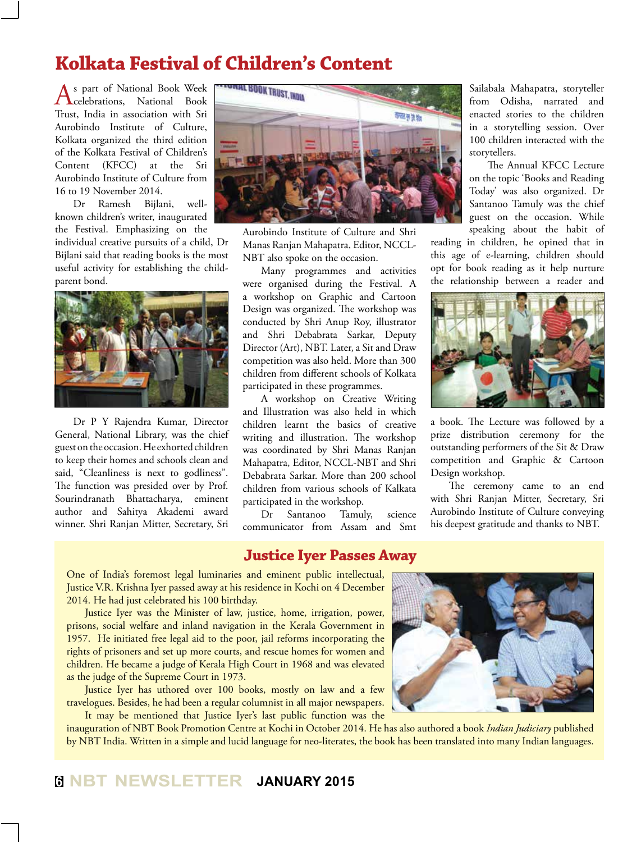## **Kolkata Festival of Children's Content**

As part of National Book Week celebrations, National Book Trust, India in association with Sri Aurobindo Institute of Culture, Kolkata organized the third edition of the Kolkata Festival of Children's Content (KFCC) at the Sri Aurobindo Institute of Culture from 16 to 19 November 2014.

Dr Ramesh Bijlani, wellknown children's writer, inaugurated the Festival. Emphasizing on the individual creative pursuits of a child, Dr Bijlani said that reading books is the most useful activity for establishing the childparent bond.



Dr P Y Rajendra Kumar, Director General, National Library, was the chief guest on the occasion. He exhorted children to keep their homes and schools clean and said, "Cleanliness is next to godliness". The function was presided over by Prof. Sourindranath Bhattacharya, eminent author and Sahitya Akademi award winner. Shri Ranjan Mitter, Secretary, Sri



Aurobindo Institute of Culture and Shri Manas Ranjan Mahapatra, Editor, NCCL-NBT also spoke on the occasion.

Many programmes and activities were organised during the Festival. A a workshop on Graphic and Cartoon Design was organized. The workshop was conducted by Shri Anup Roy, illustrator and Shri Debabrata Sarkar, Deputy Director (Art), NBT. Later, a Sit and Draw competition was also held. More than 300 children from different schools of Kolkata participated in these programmes.

A workshop on Creative Writing and Illustration was also held in which children learnt the basics of creative writing and illustration. The workshop was coordinated by Shri Manas Ranjan Mahapatra, Editor, NCCL-NBT and Shri Debabrata Sarkar. More than 200 school children from various schools of Kalkata participated in the workshop.

Dr Santanoo Tamuly, science communicator from Assam and Smt

#### **Justice Iyer Passes Away**

Sailabala Mahapatra, storyteller from Odisha, narrated and enacted stories to the children in a storytelling session. Over 100 children interacted with the storytellers.

The Annual KFCC Lecture on the topic 'Books and Reading Today' was also organized. Dr Santanoo Tamuly was the chief guest on the occasion. While speaking about the habit of

reading in children, he opined that in this age of e-learning, children should opt for book reading as it help nurture the relationship between a reader and



a book. The Lecture was followed by a prize distribution ceremony for the outstanding performers of the Sit & Draw competition and Graphic & Cartoon Design workshop.

The ceremony came to an end with Shri Ranjan Mitter, Secretary, Sri Aurobindo Institute of Culture conveying his deepest gratitude and thanks to NBT.

One of India's foremost legal luminaries and eminent public intellectual, Justice V.R. Krishna Iyer passed away at his residence in Kochi on 4 December 2014. He had just celebrated his 100 birthday.

Justice Iyer was the Minister of law, justice, home, irrigation, power, prisons, social welfare and inland navigation in the Kerala Government in 1957. He initiated free legal aid to the poor, jail reforms incorporating the rights of prisoners and set up more courts, and rescue homes for women and children. He became a judge of Kerala High Court in 1968 and was elevated as the judge of the Supreme Court in 1973.

Justice Iyer has uthored over 100 books, mostly on law and a few travelogues. Besides, he had been a regular columnist in all major newspapers. It may be mentioned that Justice Iyer's last public function was the

inauguration of NBT Book Promotion Centre at Kochi in October 2014. He has also authored a book *Indian Judiciary* published by NBT India. Written in a simple and lucid language for neo-literates, the book has been translated into many Indian languages.

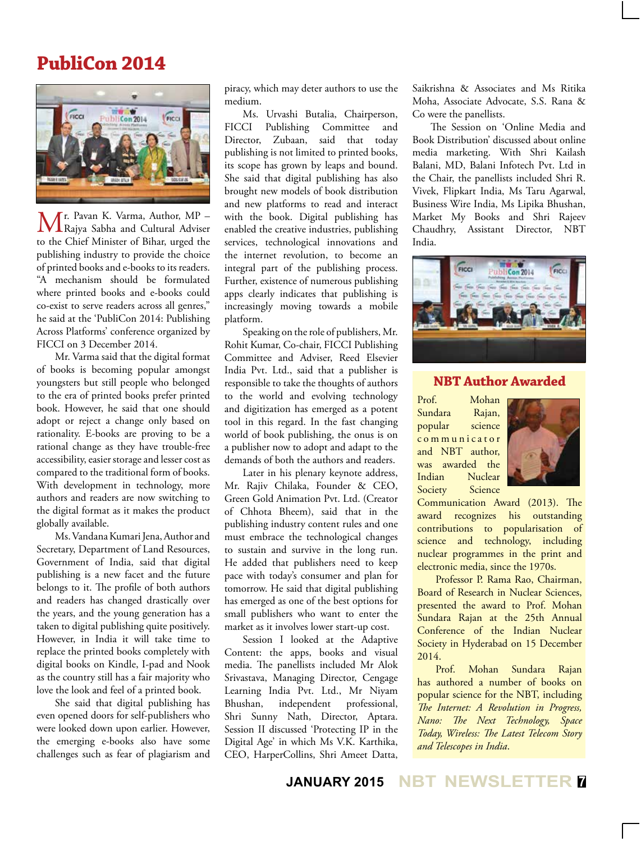### **PubliCon 2014**



Mr. Pavan K. Varma, Author, MP –<br>Rajya Sabha and Cultural Adviser to the Chief Minister of Bihar, urged the publishing industry to provide the choice of printed books and e-books to its readers. "A mechanism should be formulated where printed books and e-books could co-exist to serve readers across all genres," he said at the 'PubliCon 2014: Publishing Across Platforms' conference organized by FICCI on 3 December 2014.

Mr. Varma said that the digital format of books is becoming popular amongst youngsters but still people who belonged to the era of printed books prefer printed book. However, he said that one should adopt or reject a change only based on rationality. E-books are proving to be a rational change as they have trouble-free accessibility, easier storage and lesser cost as compared to the traditional form of books. With development in technology, more authors and readers are now switching to the digital format as it makes the product globally available.

Ms. Vandana Kumari Jena, Author and Secretary, Department of Land Resources, Government of India, said that digital publishing is a new facet and the future belongs to it. The profile of both authors and readers has changed drastically over the years, and the young generation has a taken to digital publishing quite positively. However, in India it will take time to replace the printed books completely with digital books on Kindle, I-pad and Nook as the country still has a fair majority who love the look and feel of a printed book.

She said that digital publishing has even opened doors for self-publishers who were looked down upon earlier. However, the emerging e-books also have some challenges such as fear of plagiarism and piracy, which may deter authors to use the medium.

Ms. Urvashi Butalia, Chairperson, FICCI Publishing Committee and Director, Zubaan, said that today publishing is not limited to printed books, its scope has grown by leaps and bound. She said that digital publishing has also brought new models of book distribution and new platforms to read and interact with the book. Digital publishing has enabled the creative industries, publishing services, technological innovations and the internet revolution, to become an integral part of the publishing process. Further, existence of numerous publishing apps clearly indicates that publishing is increasingly moving towards a mobile platform.

Speaking on the role of publishers, Mr. Rohit Kumar, Co-chair, FICCI Publishing Committee and Adviser, Reed Elsevier India Pvt. Ltd., said that a publisher is responsible to take the thoughts of authors to the world and evolving technology and digitization has emerged as a potent tool in this regard. In the fast changing world of book publishing, the onus is on a publisher now to adopt and adapt to the demands of both the authors and readers.

Later in his plenary keynote address, Mr. Rajiv Chilaka, Founder & CEO, Green Gold Animation Pvt. Ltd. (Creator of Chhota Bheem), said that in the publishing industry content rules and one must embrace the technological changes to sustain and survive in the long run. He added that publishers need to keep pace with today's consumer and plan for tomorrow. He said that digital publishing has emerged as one of the best options for small publishers who want to enter the market as it involves lower start-up cost.

Session I looked at the Adaptive Content: the apps, books and visual media. The panellists included Mr Alok Srivastava, Managing Director, Cengage Learning India Pvt. Ltd., Mr Niyam Bhushan, independent professional, Shri Sunny Nath, Director, Aptara. Session II discussed 'Protecting IP in the Digital Age' in which Ms V.K. Karthika, CEO, HarperCollins, Shri Ameet Datta,

Saikrishna & Associates and Ms Ritika Moha, Associate Advocate, S.S. Rana & Co were the panellists.

The Session on 'Online Media and Book Distribution' discussed about online media marketing. With Shri Kailash Balani, MD, Balani Infotech Pvt. Ltd in the Chair, the panellists included Shri R. Vivek, Flipkart India, Ms Taru Agarwal, Business Wire India, Ms Lipika Bhushan, Market My Books and Shri Rajeev Chaudhry, Assistant Director, NBT India.



#### **NBT Author Awarded**

Prof. Mohan Sundara Rajan, popular science c o m m u n i c a t o r and NBT author, was awarded the Indian Nuclear Society Science



Communication Award (2013). The award recognizes his outstanding contributions to popularisation of science and technology, including nuclear programmes in the print and electronic media, since the 1970s.

Professor P. Rama Rao, Chairman, Board of Research in Nuclear Sciences, presented the award to Prof. Mohan Sundara Rajan at the 25th Annual Conference of the Indian Nuclear Society in Hyderabad on 15 December 2014.

Prof. Mohan Sundara Rajan has authored a number of books on popular science for the NBT, including *The Internet: A Revolution in Progress, Nano: The Next Technology, Space Today, Wireless: The Latest Telecom Story and Telescopes in India*.